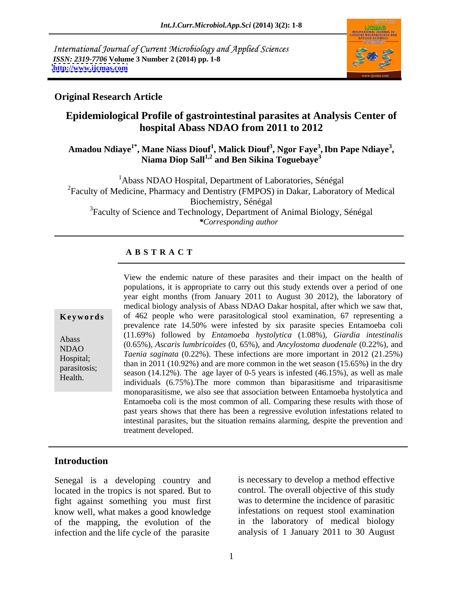International Journal of Current Microbiology and Applied Sciences *ISSN: 2319-7706* **Volume 3 Number 2 (2014) pp. 1-8 <http://www.ijcmas.com>**



### **Original Research Article**

## **Epidemiological Profile of gastrointestinal parasites at Analysis Center of hospital Abass NDAO from 2011 to 2012**

### **Amadou Ndiaye1\* , Mane Niass Diouf<sup>1</sup> , Malick Diouf<sup>3</sup> , Ngor Faye<sup>3</sup> ,Ibn Pape Ndiaye<sup>3</sup> , Niama Diop Sall1,2 and Ben Sikina Toguebaye<sup>3</sup>**

<sup>1</sup>Abass NDAO Hospital, Department of Laboratories, Sénégal <sup>2</sup>Faculty of Medicine, Pharmacy and Dentistry (FMPOS) in Dakar, Laboratory of Medical Biochemistry, Sénégal <sup>3</sup>Faculty of Science and Technology, Department of Animal Biology, Sénégal *\*Corresponding author* 

### **A B S T R A C T**

| Keywords     |
|--------------|
| Abass        |
| <b>NDAO</b>  |
| Hospital;    |
| parasitosis; |
| Health.      |

**Ke ywo rds** of 462 people who were parasitological stool examination, 67 representing a Abass (11.02%) followed by *Entambeba hystorytica* (1.06%), Olarian *inesimalis* (0.65%), *Ascaris lumbricoides* (0, 65%), and *Ancylostoma duodenale* (0.22%), and NDAO (0.05%), Ascuris lambricolates (0, 05%), and Ancylosioma alodenale (0.22%), and<br>Hermital *Taenia saginata* (0.22%). These infections are more important in 2012 (21.25%) Hospital; than in 2011 (10.92%) and are more common in the wet season (15.65%) in the dry parasitosis;  $\frac{\text{than in 2011 (10.92%) and are more common in the wet season (15.65%) in the dry season (14.12%).}$  The age layer of 0-5 years is infested (46.15%), as well as male Health. Season  $(14.12\%)$ . The age layer of 0-5 years is infested  $(40.15\%)$ , as well as final individuals  $(6.75\%)$ . The more common than biparasitisme and triparasitisme View the endemic nature of these parasites and their impact on the health of populations, it is appropriate to carry out this study extends over a period of one year eight months (from January 2011 to August 30 2012), the laboratory of medical biology analysis of Abass NDAO Dakar hospital, after which we saw that, prevalence rate 14.50% were infested by six parasite species Entamoeba coli (11.69%) followed by *Entamoeba hystolytica* (1.08%), *Giardia intestinalis* monoparasitisme, we also see that association between Entamoeba hystolytica and Entamoeba coli is the most common of all. Comparing these results with those of past years shows that there has been a regressive evolution infestations related to intestinal parasites, but the situation remains alarming, despite the prevention and treatment developed.

### **Introduction**

Senegal is a developing country and located in the tropics is not spared. But to fight against something you must first know well, what makes a good knowledge of the mapping, the evolution of the infection and the life cycle of the parasite

is necessary to develop a method effective control. The overall objective of this study was to determine the incidence of parasitic infestations on request stool examination in the laboratory of medical biology analysis of 1 January 2011 to 30 August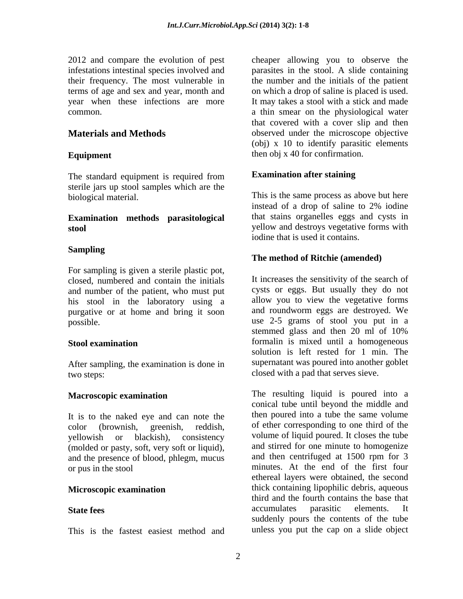The standard equipment is required from sterile jars up stool samples which are the

## **Examination methods parasitological**

### **Sampling**

For sampling is given a sterile plastic pot, closed, numbered and contain the initials and number of the patient, who must put his stool in the laboratory using a purgative or at home and bring it soon

After sampling, the examination is done in two steps: closed with a pad that serves sieve.

It is to the naked eye and can note the yellowish or blackish), consistency (molded or pasty, soft, very soft or liquid), and the presence of blood, phlegm, mucus

This is the fastest easiest method and

2012 and compare the evolution of pest cheaper allowing you to observe the infestations intestinal species involved and parasites in the stool. A slide containing their frequency. The most vulnerable in the number and the initials of the patient terms of age and sex and year, month and on which a drop of saline is placed is used. year when these infections are more It may takes a stool with a stick and made common. a thin smear on the physiological water **Materials and Methods b** observed under the microscope objective **Equipment** then obj x 40 for confirmation. that covered with a cover slip and then (obj) x 10 to identify parasitic elements

### **Examination after staining**

biological material. This is the same process as above but here **stool** yellow and destroys vegetative forms with instead of a drop of saline to 2% iodine that stains organelles eggs and cysts in iodine that is used it contains.

### **The method of Ritchie (amended)**

possible. use 2-5 grams of stool you put in a **Stool examination state of the state of the state of the state of the state of the state of the state of the state of the state of the state of the state of the state of the state of the state of the state of the state** It increases the sensitivity of the search of cysts or eggs. But usually they do not allow you to view the vegetative forms and roundworm eggs are destroyed. We stemmed glass and then 20 ml of 10% solution is left rested for 1 min. The supernatant was poured into another goblet

**Macroscopic examination** The resulting liquid is poured into a color (brownish, greenish, reddish, of ether corresponding to one third of the or pus in the stool minutes. At the end of the first four **Microscopic examination** thick containing lipophilic debris, aqueous State fees accumulates parasitic elements. It conical tube until beyond the middle and then poured into a tube the same volume volume of liquid poured. It closes the tube and stirred for one minute to homogenize and then centrifuged at 1500 rpm for 3 ethereal layers were obtained, the second third and the fourth contains the base that accumulates parasitic elements. It suddenly pours the contents of the tube unless you put the cap on a slide object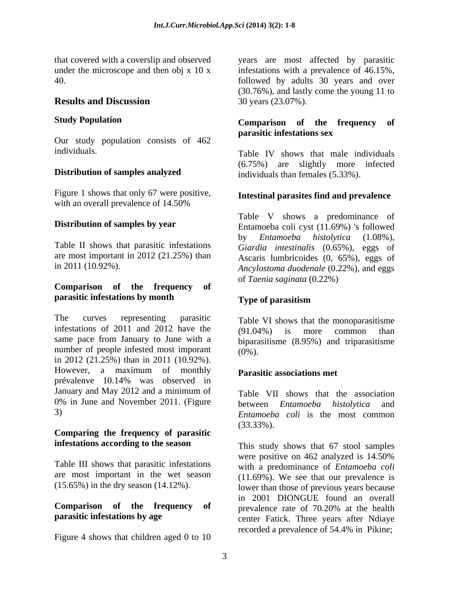Our study population consists of 462

### **Distribution of samples analyzed**

Figure 1 shows that only 67 were positive, with an overall prevalence of  $14.50\%$ 

Table II shows that parasitic infestations are most important in 2012 (21.25%) than

### **Comparison of the frequency of parasitic infestations by month**

The curves representing parasitic Table VI shows that the monoparasitisme infestations of 2011 and 2012 have the  $(91.04\%)$  is more common than same pace from January to June with a number of people infested most imporant  $(0\%)$ . in 2012 (21.25%) than in 2011 (10.92%). However, a maximum of monthly prévalenve 10.14% was observed in January and May 2012 and a minimum of 0% in June and November 2011. (Figure between *Entamoeba histolytica* and

### **Comparing the frequency of parasitic infestations according to the season**

# **Comparison of the frequency of b prevalence** rate of 70.20% at the health

Figure 4 shows that children aged 0 to 10

that covered with a coverslip and observed years are most affected by parasitic under the microscope and then obj x 10 x infestations with a prevalence of 46.15%, 40. followed by adults 30 years and over **Results and Discussion** 30 years (23.07%). (30.76%), and lastly come the young 11 to 30 years (23.07%).

### **Study Population Comparison of the frequency of parasitic infestations sex**

individuals. Table IV shows that male individuals (6.75%) are slightly more infected individuals than females (5.33%).

### **Intestinal parasites find and prevalence**

**Distribution of samples by year** Entamoeba coli cyst (11.69%) 's followed in 2011 (10.92%). *Ancylostoma duodenale* (0.22%), and eggs Table V shows a predominance of by *Entamoeba histolytica* (1.08%), *Giardia intestinalis* (0.65%), eggs of Ascaris lumbricoides (0, 65%), eggs of of *Taenia saginata* (0.22%)

### **Type of parasitism**

(91.04%) is more common than biparasitisme (8.95%) and triparasitisme (0%).

### **Parasitic associations met**

3) *Entamoeba coli* is the most common Table VII shows that the association **between** *Entamoeba histolytica* (33.33%).

Table III shows that parasitic infestations with a predominance of *Entamoeba coli* are most important in the wet season (11.69%). We see that our prevalence is (15.65%) in the dry season (14.12%). lower than those of previous years because **parasitic infestations by age** enter Fatick. Three years after Ndiaye This study shows that 67 stool samples were positive on 462 analyzed is 14.50% in 2001 DIONGUE found an overall prevalence rate of 70.20% at the health recorded a prevalence of 54.4% in Pikine;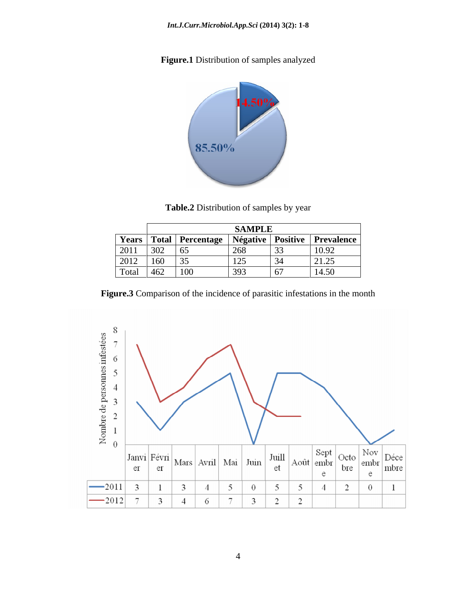**Figure.1** Distribution of samples analyzed



**Table.2** Distribution of samples by year

|       |               |                           | <b>SAMPLE</b>            |                 |                       |
|-------|---------------|---------------------------|--------------------------|-----------------|-----------------------|
|       | Years   Total | Percentage                | $\mathbf{r}$<br>Négative | <b>Positive</b> | <b>Prevalence</b>     |
| 2011  | 302           |                           | 260<br>∠∪o               | $\overline{33}$ | 10.92                 |
| 2012  | $\sim$<br>100 | .                         | $1 \cap F$<br>---        | $\overline{34}$ | 2125<br>$\sqrt{21.2}$ |
| Total | 462           | $\sim$<br>10 <sub>C</sub> | 303                      | 67              | 14.50                 |

**Figure.3** Comparison of the incidence of parasitic infestations in the month

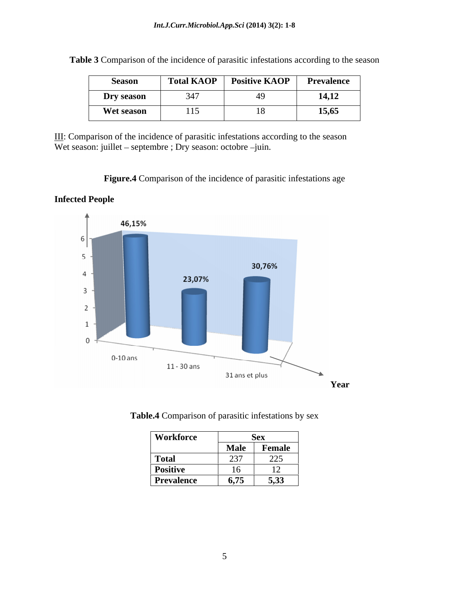| Season     | <b>Total KAOP</b><br><b>CONTRACTOR</b> | Positive KAOP | Prevalence |
|------------|----------------------------------------|---------------|------------|
| Dry season | 347                                    |               | 14,12      |
| Wet season | 115                                    | $\sim$        | 15,65      |

**Table 3** Comparison of the incidence of parasitic infestations according to the season

III: Comparison of the incidence of parasitic infestations according to the season Wet season: juillet - septembre ; Dry season: octobre -juin.

**Figure.4** Comparison of the incidence of parasitic infestations age





| <b>Table.4</b> Comparison of parasitic infestations by sex |  |  |  |
|------------------------------------------------------------|--|--|--|
|                                                            |  |  |  |

| <b>Workforce</b>  |      | OCA            |
|-------------------|------|----------------|
|                   | Male | <b>Female</b>  |
| <b>Total</b>      | 237  | 225<br>ل کے ک  |
| <b>Positive</b>   | 16   | $\overline{1}$ |
| <b>Prevalence</b> | 6,75 | 5,33           |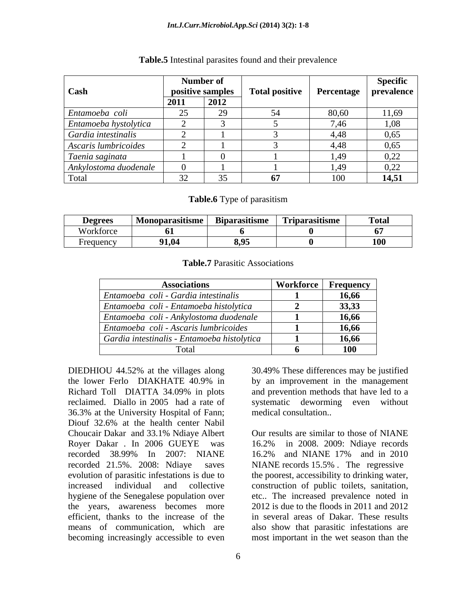### *Int.J.Curr.Microbiol.App.Sci* **(2014) 3(2): 1-8**

|                       | Number of        |      |                       |            | <b>Specific</b> |
|-----------------------|------------------|------|-----------------------|------------|-----------------|
| <b>Cash</b>           | positive samples |      | <b>Total positive</b> | Percentage | prevalence      |
|                       | 2011             | 2012 |                       |            |                 |
| Entamoeba coli        |                  |      | 5/1<br>- د.           | 80,60      | 11,69           |
| Entamoeba hystolytica |                  |      |                       | 7,46       | 1,08            |
| Gardia intestinalis   |                  |      |                       | 4,48       | 0,65            |
| Ascaris lumbricoides  |                  |      |                       | 4,48       | 0,65            |
| Taenia saginata       |                  |      |                       | 1,49       | 0,22            |
| Ankylostoma duodenale |                  |      |                       | 1,49       | 0,22            |
| Total                 | $\sim$           |      | 67                    | 100        | 14,51           |

### **Table.5** Intestinal parasites found and their prevalence

**Table.6** Type of parasitism

| <b>Degrees</b> | $\bullet$ . $\bullet$<br><b>Monoparasitisme</b> | $\sim$<br><b>Biparasitisme</b> | <b>CONTINUES</b><br><b>Triparasitisme</b> | <b>Total</b> |
|----------------|-------------------------------------------------|--------------------------------|-------------------------------------------|--------------|
| Workforce      |                                                 |                                |                                           |              |
| Frequency      | 91,04                                           | 8,95                           |                                           | <b>100</b>   |

### **Table.7** Parasitic Associations

| <b>Associations</b>                         | Workforce   Frequency |
|---------------------------------------------|-----------------------|
| Entamoeba coli - Gardia intestinalis        | 16,66                 |
| Entamoeba coli - Entamoeba histolytica      | 33,33                 |
| Entamoeba coli - Ankylostoma duodenale      | 16,66                 |
| Entamoeba coli - Ascaris lumbricoides       | 16,66                 |
| Gardia intestinalis - Entamoeba histolytica | 16,66                 |
| Fotal                                       | 100                   |

36.3% at the University Hospital of Fann; Diouf 32.6% at the health center Nabil Royer Dakar . In 2006 GUEYE was 16.2% in 2008. 2009: Ndiaye records the years, awareness becomes more

6

DIEDHIOU 44.52% at the villages along 30.49% These differences may be justified the lower Ferlo DIAKHATE 40.9% in Richard Toll DIATTA 34.09% in plots and prevention methods that have led to a reclaimed. Diallo in 2005 had a rate of systematic deworming even without 30.49% These differences may be justified by an improvement in the management and prevention methods that have led to a medical consultation..

Choucair Dakar and 33.1% Ndiaye Albert recorded 38.99% In 2007: NIANE recorded 21.5%. 2008: Ndiaye saves NIANE records 15.5% . The regressive Our results are similar to those of NIANE 16.2% in 2008. 2009: Ndiaye records 16.2% and NIANE 17% and in 2010 evolution of parasitic infestations is due to the poorest, accessibility to drinking water, increased individual and collective construction of public toilets, sanitation, hygiene of the Senegalese population over etc.. The increased prevalence noted in efficient, thanks to the increase of the in several areas of Dakar. These results means of communication, which are also show that parasitic infestations are becoming increasingly accessible to even most important in the wet season than the2012 is due to the floods in 2011 and 2012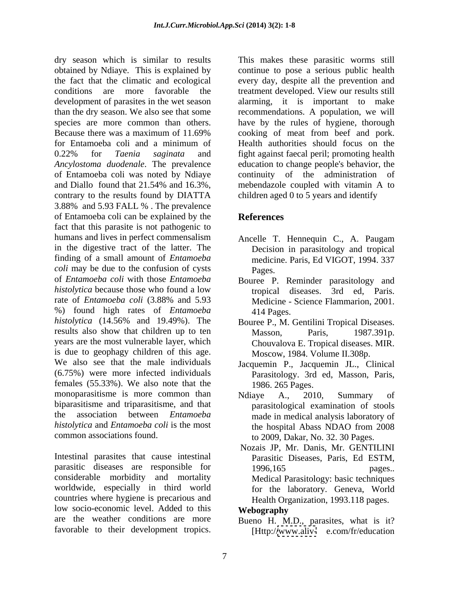dry season which is similar to results This makes these parasitic worms still obtained by Ndiaye. This is explained by continue to pose a serious public health the fact that the climatic and ecological every day, despite all the prevention and conditions are more favorable the treatment developed. View our results still development of parasites in the wet season alarming, it is important to make than the dry season. We also see that some recommendations. A population, we will species are more common than others. Because there was a maximum of 11.69% cooking of meat from beef and pork. for Entamoeba coli and a minimum of 0.22% for *Taenia saginata* and fight against faecal peril; promoting health *Ancylostoma duodenale*. The prevalence education to change people's behavior, the of Entamoeba coli was noted by Ndiaye and Diallo found that 21.54% and 16.3%, contrary to the results found by DIATTA 3.88% and 5.93 FALL % . The prevalence of Entamoeba coli can be explained by the fact that this parasite is not pathogenic to humans and lives in perfect commensalism Ancelle T. Hennequin C., A. Paugam in the digestive tract of the latter. The Decision in parasitology and tropical finding of a small amount of *Entamoeba coli* may be due to the confusion of cysts **Pages**. of *Entamoeba coli* with those *Entamoeba*  Bouree P. Reminder parasitology and histolytica because those who found a low tropical diseases. 3rd ed, Paris. rate of *Entamoeba coli* (3.88% and 5.93 %) found high rates of *Entamoeba*  histolytica (14.56% and 19.49%). The Bouree P., M. Gentilini Tropical Diseases. results also show that children up to ten Masson, Paris, 1987.391p. years are the most vulnerable layer, which is due to geophagy children of this age. We also see that the male individuals Jacquemin P., Jacquemin J.L., Clinical (6.75%) were more infected individuals Parasitology. 3rd ed, Masson, Paris, females (55.33%). We also note that the monoparasitisme is more common than Mediaye A., 2010, Summary of biparasitisme and triparasitisme, and that the association between *Entamoeba*  made in medical analysis laboratory of *histolytica* and *Entamoeba coli* is the most dry Eurasies their in case<br>Its makes the parasitic worms of the still the conduction are transmit to the mean a parallel to the three to the three to the conduction and the figure of the three parasitic and the depend of

Intestinal parasites that cause intestinal Parasitic Diseases, Paris, Ed ESTM, parasitic diseases are responsible for 1996,165 pages.. considerable morbidity and mortality worldwide, especially in third world countries where hygiene is precarious and low socio-economic level. Added to this **Webography** are the weather conditions are more Bueno H. M.D., parasites, what is it?

have by the rules of hygiene, thorough cooking of meat from beef and pork. Health authorities should focus on the continuity of the administration of mebendazole coupled with vitamin A to children aged 0 to 5 years and identify

## **References**

- medicine. Paris, Ed VIGOT, 1994. 337 Pages.
- Medicine Science Flammarion, 2001. 414 Pages.
- Masson, Paris, 1987.391p. Chouvalova E. Tropical diseases. MIR. Moscow, 1984. Volume II.308p.
- 1986. 265 Pages.
- common associations found. to 2009, Dakar, No. 32. 30 Pages. Ndiaye A., 2010, Summary of parasitological examination of stools the hospital Abass NDAO from 2008
	- Nozais JP, Mr. Danis, Mr. GENTILINI 1996,165 **pages..** Medical Parasitology: basic techniques for the laboratory. Geneva, World Health Organization, 1993.118 pages.

**Webography**

[Http:/[/www.aliv-](http://www.aliv-) e.com/fr/education